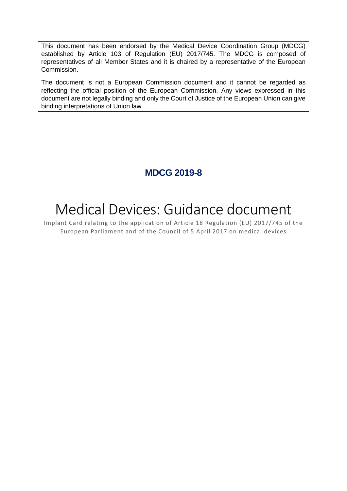This document has been endorsed by the Medical Device Coordination Group (MDCG) established by Article 103 of Regulation (EU) 2017/745. The MDCG is composed of representatives of all Member States and it is chaired by a representative of the European Commission.

The document is not a European Commission document and it cannot be regarded as reflecting the official position of the European Commission. Any views expressed in this document are not legally binding and only the Court of Justice of the European Union can give binding interpretations of Union law.

# **MDCG 2019-8**

# Medical Devices: Guidance document

Implant Card relating to the application of Article 18 Regulation (EU) 2017/745 of the European Parliament and of the Council of 5 April 2017 on medical devices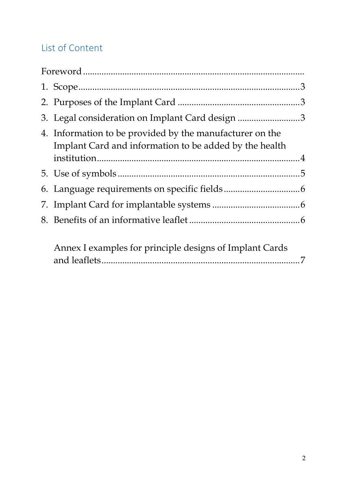# List of Content

| 3. Legal consideration on Implant Card design 3                                                                    |  |
|--------------------------------------------------------------------------------------------------------------------|--|
| 4. Information to be provided by the manufacturer on the<br>Implant Card and information to be added by the health |  |
|                                                                                                                    |  |
|                                                                                                                    |  |
|                                                                                                                    |  |
|                                                                                                                    |  |
| Annex I examples for principle designs of Implant Cards                                                            |  |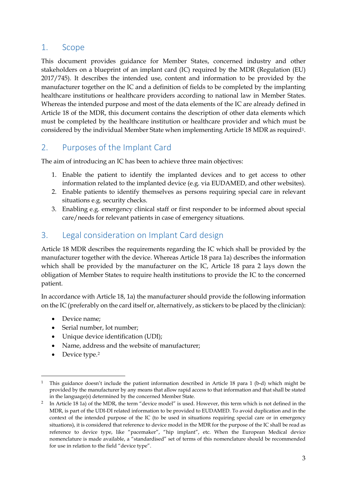#### <span id="page-2-0"></span>1. Scope

This document provides guidance for Member States, concerned industry and other stakeholders on a blueprint of an implant card (IC) required by the MDR (Regulation (EU) 2017/745). It describes the intended use, content and information to be provided by the manufacturer together on the IC and a definition of fields to be completed by the implanting healthcare institutions or healthcare providers according to national law in Member States. Whereas the intended purpose and most of the data elements of the IC are already defined in Article 18 of the MDR, this document contains the description of other data elements which must be completed by the healthcare institution or healthcare provider and which must be considered by the individual Member State when implementing Article 18 MDR as required[1.](#page-2-3)

#### <span id="page-2-1"></span>2. Purposes of the Implant Card

The aim of introducing an IC has been to achieve three main objectives:

- 1. Enable the patient to identify the implanted devices and to get access to other information related to the implanted device (e.g. via EUDAMED, and other websites).
- 2. Enable patients to identify themselves as persons requiring special care in relevant situations e.g. security checks.
- 3. Enabling e.g. emergency clinical staff or first responder to be informed about special care/needs for relevant patients in case of emergency situations.

#### <span id="page-2-2"></span>3. Legal consideration on Implant Card design

Article 18 MDR describes the requirements regarding the IC which shall be provided by the manufacturer together with the device. Whereas Article 18 para 1a) describes the information which shall be provided by the manufacturer on the IC, Article 18 para 2 lays down the obligation of Member States to require health institutions to provide the IC to the concerned patient.

In accordance with Article 18, 1a) the manufacturer should provide the following information on the IC (preferably on the card itself or, alternatively, as stickers to be placed by the clinician):

- Device name;
- Serial number, lot number;
- Unique device identification (UDI);
- Name, address and the website of manufacturer;
- Device type.<sup>[2](#page-2-4)</sup>

<span id="page-2-3"></span> <sup>1</sup> This guidance doesn't include the patient information described in Article 18 para 1 (b-d) which might be provided by the manufacturer by any means that allow rapid access to that information and that shall be stated in the language(s) determined by the concerned Member State.

<span id="page-2-4"></span><sup>&</sup>lt;sup>2</sup> In Article 18 1a) of the MDR, the term "device model" is used. However, this term which is not defined in the MDR, is part of the UDI-DI related information to be provided to EUDAMED. To avoid duplication and in the context of the intended purpose of the IC (to be used in situations requiring special care or in emergency situations), it is considered that reference to device model in the MDR for the purpose of the IC shall be read as reference to device type, like "pacemaker", "hip implant", etc. When the European Medical device nomenclature is made available, a "standardised" set of terms of this nomenclature should be recommended for use in relation to the field "device type".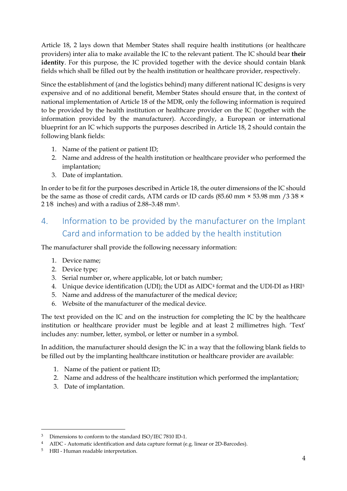Article 18, 2 lays down that Member States shall require health institutions (or healthcare providers) inter alia to make available the IC to the relevant patient. The IC should bear **their identity**. For this purpose, the IC provided together with the device should contain blank fields which shall be filled out by the health institution or healthcare provider, respectively.

Since the establishment of (and the logistics behind) many different national IC designs is very expensive and of no additional benefit, Member States should ensure that, in the context of national implementation of Article 18 of the MDR, only the following information is required to be provided by the health institution or healthcare provider on the IC (together with the information provided by the manufacturer). Accordingly, a European or international blueprint for an IC which supports the purposes described in Article 18, 2 should contain the following blank fields:

- 1. Name of the patient or patient ID;
- 2. Name and address of the health institution or healthcare provider who performed the implantation;
- 3. Date of implantation.

In order to be fit for the purposes described in Article 18, the outer dimensions of the IC should be the same as those of credit cards, ATM cards or ID cards (85.60 mm × 53.98 mm /3 3⁄8 × 2 1⁄8 inches) and with a radius of 2.88–3.48 mm[3.](#page-3-2)

## <span id="page-3-0"></span>4. Information to be provided by the manufacturer on the Implant Card and information to be added by the health institution

The manufacturer shall provide the following necessary information:

- 1. Device name;
- 2. Device type;
- 3. Serial number or, where applicable, lot or batch number;
- 4. Unique device identification (UDI); the UDI as AIDC[4](#page-3-3) format and the UDI-DI as HRI[5](#page-3-4)
- 5. Name and address of the manufacturer of the medical device;
- 6. Website of the manufacturer of the medical device.

The text provided on the IC and on the instruction for completing the IC by the healthcare institution or healthcare provider must be legible and at least 2 millimetres high. 'Text' includes any: number, letter, symbol, or letter or number in a symbol.

In addition, the manufacturer should design the IC in a way that the following blank fields to be filled out by the implanting healthcare institution or healthcare provider are available:

- 1. Name of the patient or patient ID;
- 2. Name and address of the healthcare institution which performed the implantation;
- <span id="page-3-1"></span>3. Date of implantation.

<span id="page-3-2"></span> <sup>3</sup> Dimensions to conform to the standar[d ISO/IEC 7810 ID-1.](https://en.wikipedia.org/wiki/ISO/IEC_7810#ID-1) 

<span id="page-3-3"></span><sup>4</sup> AIDC - Automatic identification and data capture format (e.g. linear or 2D-Barcodes).

<span id="page-3-4"></span><sup>5</sup> HRI - Human readable interpretation.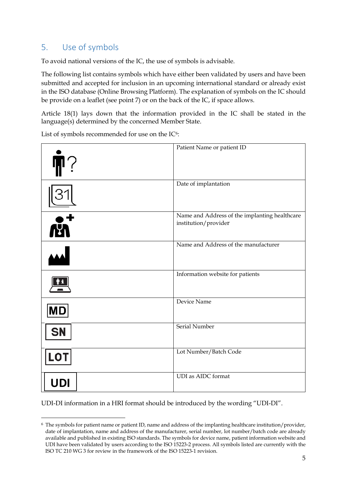### 5. Use of symbols

To avoid national versions of the IC, the use of symbols is advisable.

The following list contains symbols which have either been validated by users and have been submitted and accepted for inclusion in an upcoming international standard or already exist in the ISO database (Online Browsing Platform). The explanation of symbols on the IC should be provide on a leaflet (see point 7) or on the back of the IC, if space allows.

Article 18(1) lays down that the information provided in the IC shall be stated in the language(s) determined by the concerned Member State.

List of symbols recommended for use on the IC[6](#page-4-0):



UDI-DI information in a HRI format should be introduced by the wording "UDI-DI".

<span id="page-4-0"></span> $6$  The symbols for patient name or patient ID, name and address of the implanting healthcare institution/provider, date of implantation, name and address of the manufacturer, serial number, lot number/batch code are already available and published in existing ISO standards. The symbols for device name, patient information website and UDI have been validated by users according to the ISO 15223-2 process. All symbols listed are currently with the ISO TC 210 WG 3 for review in the framework of the ISO 15223-1 revision.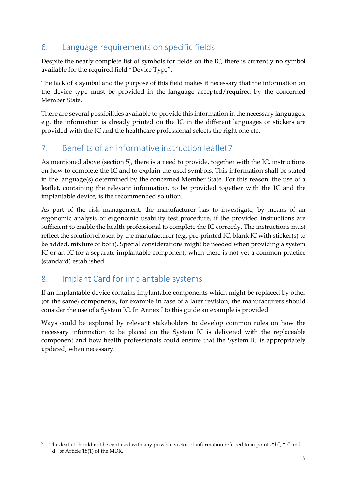### <span id="page-5-0"></span>6. Language requirements on specific fields

Despite the nearly complete list of symbols for fields on the IC, there is currently no symbol available for the required field "Device Type".

The lack of a symbol and the purpose of this field makes it necessary that the information on the device type must be provided in the language accepted/required by the concerned Member State.

There are several possibilities available to provide this information in the necessary languages, e.g. the information is already printed on the IC in the different languages or stickers are provided with the IC and the healthcare professional selects the right one etc.

## <span id="page-5-2"></span>7. Benefits of an informative instruction leaflet[7](#page-5-4)

As mentioned above (section 5), there is a need to provide, together with the IC, instructions on how to complete the IC and to explain the used symbols. This information shall be stated in the language(s) determined by the concerned Member State. For this reason, the use of a leaflet, containing the relevant information, to be provided together with the IC and the implantable device, is the recommended solution.

As part of the risk management, the manufacturer has to investigate, by means of an ergonomic analysis or ergonomic usability test procedure, if the provided instructions are sufficient to enable the health professional to complete the IC correctly. The instructions must reflect the solution chosen by the manufacturer (e.g. pre-printed IC, blank IC with sticker(s) to be added, mixture of both). Special considerations might be needed when providing a system IC or an IC for a separate implantable component, when there is not yet a common practice (standard) established.

### <span id="page-5-1"></span>8. Implant Card for implantable systems

If an implantable device contains implantable components which might be replaced by other (or the same) components, for example in case of a later revision, the manufacturers should consider the use of a System IC. In Annex I to this guide an example is provided.

<span id="page-5-3"></span>Ways could be explored by relevant stakeholders to develop common rules on how the necessary information to be placed on the System IC is delivered with the replaceable component and how health professionals could ensure that the System IC is appropriately updated, when necessary.

<span id="page-5-4"></span> <sup>7</sup> This leaflet should not be confused with any possible vector of information referred to in points "b", "c" and "d" of Article 18(1) of the MDR.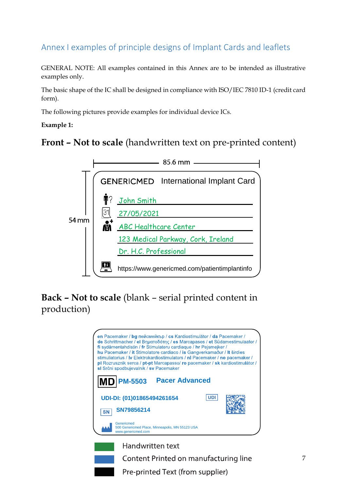# Annex I examples of principle designs of Implant Cards and leaflets

GENERAL NOTE: All examples contained in this Annex are to be intended as illustrative examples only.

The basic shape of the IC shall be designed in compliance with ISO/IEC 7810 ID-1 (credit card form).

The following pictures provide examples for individual device ICs.

#### **Example 1:**

## **Front – Not to scale** (handwritten text on pre-printed content)



# **Back – Not to scale** (blank – serial printed content in production)





Pre-printed Text (from supplier)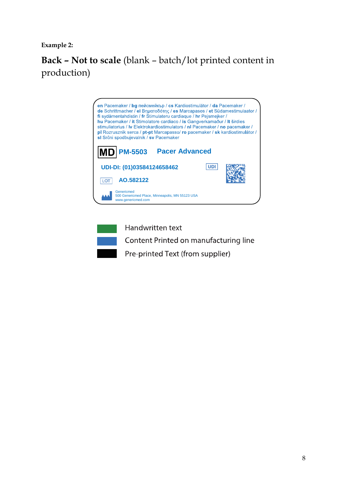**Example 2:**

# **Back – Not to scale** (blank – batch/lot printed content in production)





Handwritten text

Content Printed on manufacturing line

Pre-printed Text (from supplier)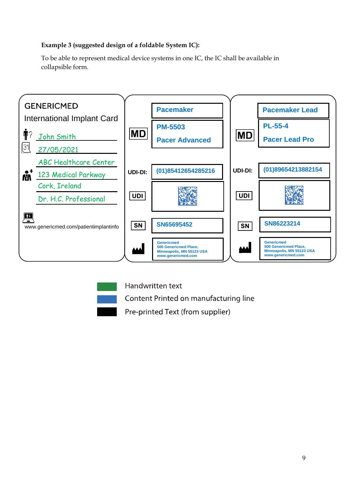#### **Example 3 (suggested design of a foldable System IC):**

To be able to represent medical device systems in one IC, the IC shall be available in collapsible form.





Handwritten text

Content Printed on manufacturing line

Pre-printed Text (from supplier)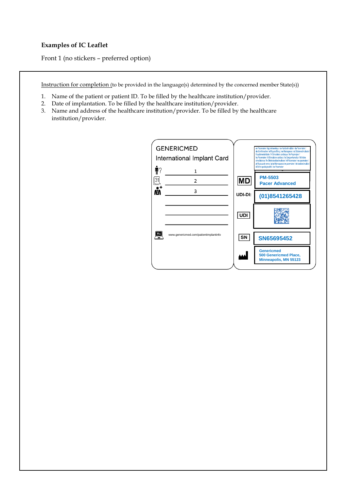#### **Examples of IC Leaflet**

Front 1 (no stickers – preferred option)

Instruction for completion (to be provided in the language(s) determined by the concerned member State(s))

- 1. Name of the patient or patient ID. To be filled by the healthcare institution/provider.
- 2. Date of implantation. To be filled by the healthcare institution/provider.
- 3. Name and address of the healthcare institution/provider. To be filled by the healthcare institution/provider.

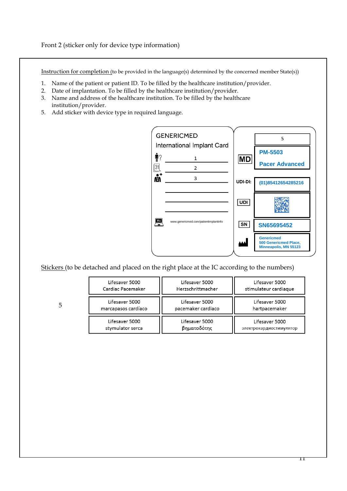Front 2 (sticker only for device type information)

Instruction for completion (to be provided in the language(s) determined by the concerned member State(s))

- 1. Name of the patient or patient ID. To be filled by the healthcare institution/provider.
- 2. Date of implantation. To be filled by the healthcare institution/provider.
- 3. Name and address of the healthcare institution. To be filled by the healthcare institution/provider.
- 5. Add sticker with device type in required language.



Stickers (to be detached and placed on the right place at the IC according to the numbers)

| Lifesaver 5000      | Lifesaver 5000     | Lifesaver 5000          |
|---------------------|--------------------|-------------------------|
| Cardiac Pacemaker   | Herzschrittmacher  | stimulateur cardiaque   |
| Lifesaver 5000      | Lifesaver 5000     | Lifesaver 5000          |
| marcapasos cardíaco | pacemaker cardiaco | hartpacemaker           |
| Lifesaver 5000      | Lifesaver 5000     | Lifesaver 5000          |
| stymulator serca    | βηματοδότης        | электрокардиостимулятор |

5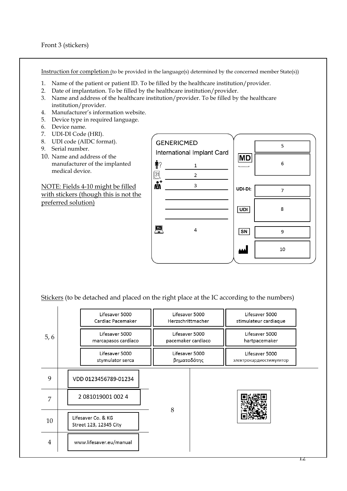Instruction for completion (to be provided in the language(s) determined by the concerned member State(s))

- 1. Name of the patient or patient ID. To be filled by the healthcare institution/provider.
- 2. Date of implantation. To be filled by the healthcare institution/provider.
- 3. Name and address of the healthcare institution/provider. To be filled by the healthcare institution/provider.
- 4. Manufacturer's information website.
- 5. Device type in required language.
- 6. Device name.
- 7. UDI-DI Code (HRI).
- 8. UDI code (AIDC format).
- 9. Serial number.
- 10. Name and address of the manufacturer of the implanted medical device.

NOTE: Fields 4-10 might be filled with stickers (though this is not the preferred solution)



Stickers (to be detached and placed on the right place at the IC according to the numbers)

|      |                                       | Lifesaver 5000<br>Cardiac Pacemaker          | Lifesaver 5000<br>Herzschrittmacher  |  | Lifesaver 5000<br>stimulateur cardiaque   |
|------|---------------------------------------|----------------------------------------------|--------------------------------------|--|-------------------------------------------|
| 5, 6 | Lifesaver 5000<br>marcapasos cardíaco |                                              | Lifesaver 5000<br>pacemaker cardiaco |  | Lifesaver 5000<br>hartpacemaker           |
|      |                                       | Lifesaver 5000<br>stymulator serca           | Lifesaver 5000<br>βηματοδότης        |  | Lifesaver 5000<br>электрокардиостимулятор |
| 9    |                                       | VDD 0123456789-01234                         |                                      |  |                                           |
| 7    |                                       | 2 081019001 002 4                            |                                      |  |                                           |
| 10   |                                       | Lifesaver Co. & KG<br>Street 123, 12345 City | 8                                    |  |                                           |
| 4    |                                       | www.lifesaver.eu/manual                      |                                      |  |                                           |